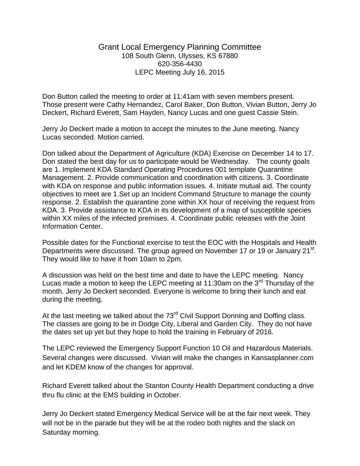## Grant Local Emergency Planning Committee 108 South Glenn, Ulysses, KS 67880 620-356-4430 LEPC Meeting July 16, 2015

Don Button called the meeting to order at 11:41am with seven members present. Those present were Cathy Hernandez, Carol Baker, Don Button, Vivian Button, Jerry Jo Deckert, Richard Everett, Sam Hayden, Nancy Lucas and one guest Cassie Stein.

Jerry Jo Deckert made a motion to accept the minutes to the June meeting. Nancy Lucas seconded. Motion carried.

Don talked about the Department of Agriculture (KDA) Exercise on December 14 to 17. Don stated the best day for us to participate would be Wednesday. The county goals are 1. Implement KDA Standard Operating Procedures 001 template Quarantine Management. 2. Provide communication and coordination with citizens. 3. Coordinate with KDA on response and public information issues. 4. Initiate mutual aid. The county objectives to meet are 1.Set up an Incident Command Structure to manage the county response. 2. Establish the quarantine zone within XX hour of receiving the request from KDA. 3. Provide assistance to KDA in its development of a map of susceptible species within XX miles of the infected premises. 4. Coordinate public releases with the Joint Information Center.

Possible dates for the Functional exercise to test the EOC with the Hospitals and Health Departments were discussed. The group agreed on November 17 or 19 or January 21 $^{\text{st}}$ . They would like to have it from 10am to 2pm.

A discussion was held on the best time and date to have the LEPC meeting. Nancy Lucas made a motion to keep the LEPC meeting at 11:30am on the 3<sup>rd</sup> Thursday of the month. Jerry Jo Deckert seconded. Everyone is welcome to bring their lunch and eat during the meeting.

At the last meeting we talked about the 73<sup>rd</sup> Civil Support Donning and Doffing class. The classes are going to be in Dodge City, Liberal and Garden City. They do not have the dates set up yet but they hope to hold the training in February of 2016.

The LEPC reviewed the Emergency Support Function 10 Oil and Hazardous Materials. Several changes were discussed. Vivian will make the changes in Kansasplanner.com and let KDEM know of the changes for approval.

Richard Everett talked about the Stanton County Health Department conducting a drive thru flu clinic at the EMS building in October.

Jerry Jo Deckert stated Emergency Medical Service will be at the fair next week. They will not be in the parade but they will be at the rodeo both nights and the slack on Saturday morning.